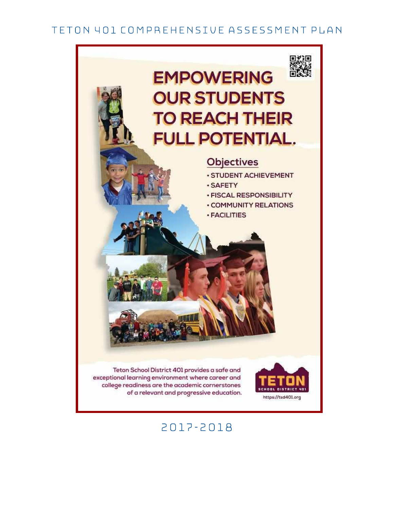## TETON 401 COMPREHENSIVE ASSESSMENT PLAN



# 2017-2018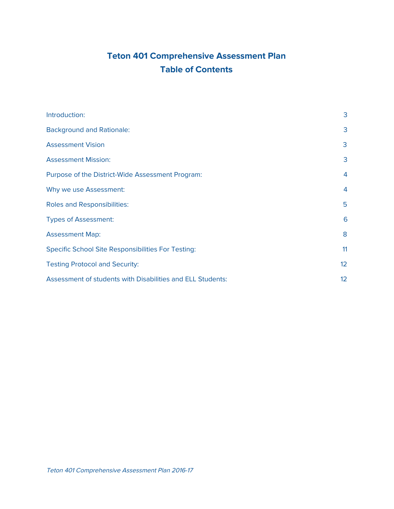## **Teton 401 Comprehensive Assessment Plan Table of Contents**

| Introduction:                                              | 3               |
|------------------------------------------------------------|-----------------|
| <b>Background and Rationale:</b>                           | 3               |
| <b>Assessment Vision</b>                                   | 3               |
| <b>Assessment Mission:</b>                                 | 3               |
| Purpose of the District-Wide Assessment Program:           | $\overline{4}$  |
| Why we use Assessment:                                     | $\overline{4}$  |
| <b>Roles and Responsibilities:</b>                         | 5               |
| <b>Types of Assessment:</b>                                | 6               |
| <b>Assessment Map:</b>                                     | 8               |
| <b>Specific School Site Responsibilities For Testing:</b>  | 11              |
| <b>Testing Protocol and Security:</b>                      | 12 <sup>2</sup> |
| Assessment of students with Disabilities and ELL Students: | 12              |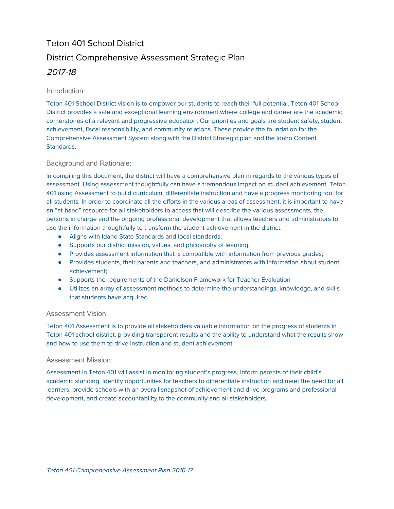# Teton 401 School District District Comprehensive Assessment Strategic Plan 2017-18

### <span id="page-2-3"></span>Introduction:

Teton 401 School District vision is to empower our students to reach their full potential. Teton 401 School District provides a safe and exceptional learning environment where college and career are the academic cornerstones of a relevant and progressive education. Our priorities and goals are student safety, student achievement, fiscal responsibility, and community relations. These provide the foundation for the Comprehensive Assessment System along with the District Strategic plan and the Idaho Content Standards.

### <span id="page-2-0"></span>Background and Rationale:

In compiling this document, the district will have a comprehensive plan in regards to the various types of assessment. Using assessment thoughtfully can have a tremendous impact on student achievement. Teton 401 using Assessment to build curriculum, differentiate instruction and have a progress monitoring tool for all students. In order to coordinate all the efforts in the various areas of assessment, it is important to have an "at-hand" resource for all stakeholders to access that will describe the various assessments, the persons in charge and the ongoing professional development that allows teachers and administrators to use the information thoughtfully to transform the student achievement in the district.

- Aligns with Idaho State Standards and local standards;
- Supports our district mission, values, and philosophy of learning;
- Provides assessment information that is compatible with information from previous grades;
- Provides students, their parents and teachers, and administrators with information about student achievement;
- Supports the requirements of the Danielson Framework for Teacher Evaluation
- Utilizes an array of assessment methods to determine the understandings, knowledge, and skills that students have acquired.

#### <span id="page-2-2"></span>Assessment Vision

Teton 401 Assessment is to provide all stakeholders valuable information on the progress of students in Teton 401 school district, providing transparent results and the ability to understand what the results show and how to use them to drive instruction and student achievement.

#### <span id="page-2-1"></span>Assessment Mission:

Assessment in Teton 401 will assist in monitoring student's progress, inform parents of their child's academic standing, identify opportunities for teachers to differentiate instruction and meet the need for all learners, provide schools with an overall snapshot of achievement and drive programs and professional development, and create accountability to the community and all stakeholders.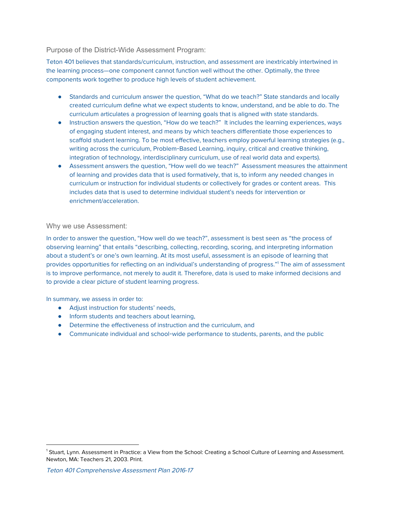#### <span id="page-3-1"></span>Purpose of the District-Wide Assessment Program:

Teton 401 believes that standards/curriculum, instruction, and assessment are inextricably intertwined in the learning process—one component cannot function well without the other. Optimally, the three components work together to produce high levels of student achievement.

- Standards and curriculum answer the question, "What do we teach?" State standards and locally created curriculum define what we expect students to know, understand, and be able to do. The curriculum articulates a progression of learning goals that is aligned with state standards.
- Instruction answers the question, "How do we teach?" It includes the learning experiences, ways of engaging student interest, and means by which teachers differentiate those experiences to scaffold student learning. To be most effective, teachers employ powerful learning strategies (e.g., writing across the curriculum, Problem-Based Learning, inquiry, critical and creative thinking, integration of technology, interdisciplinary curriculum, use of real world data and experts).
- Assessment answers the question, "How well do we teach?" Assessment measures the attainment of learning and provides data that is used formatively, that is, to inform any needed changes in curriculum or instruction for individual students or collectively for grades or content areas. This includes data that is used to determine individual student's needs for intervention or enrichment/acceleration.

#### <span id="page-3-0"></span>Why we use Assessment:

In order to answer the question, "How well do we teach?", assessment is best seen as "the process of observing learning" that entails "describing, collecting, recording, scoring, and interpreting information about a student's or one's own learning. At its most useful, assessment is an episode of learning that provides opportunities for reflecting on an individual's understanding of progress."<sup>1</sup> The aim of assessment is to improve performance, not merely to audit it. Therefore, data is used to make informed decisions and to provide a clear picture of student learning progress.

In summary, we assess in order to:

- Adjust instruction for students' needs,
- Inform students and teachers about learning,
- Determine the effectiveness of instruction and the curriculum, and
- Communicate individual and school-wide performance to students, parents, and the public

<sup>&</sup>lt;sup>1</sup> Stuart, Lynn. Assessment in Practice: a View from the School: Creating a School Culture of Learning and Assessment. Newton, MA: Teachers 21, 2003. Print.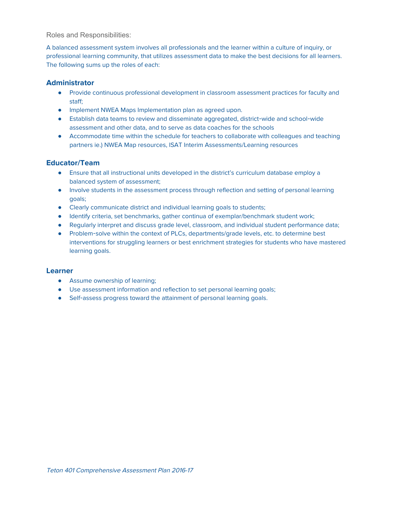<span id="page-4-0"></span>Roles and Responsibilities:

A balanced assessment system involves all professionals and the learner within a culture of inquiry, or professional learning community, that utilizes assessment data to make the best decisions for all learners. The following sums up the roles of each:

#### **Administrator**

- Provide continuous professional development in classroom assessment practices for faculty and staff;
- Implement NWEA Maps Implementation plan as agreed upon.
- Establish data teams to review and disseminate aggregated, district-wide and school-wide assessment and other data, and to serve as data coaches for the schools
- Accommodate time within the schedule for teachers to collaborate with colleagues and teaching partners ie.) NWEA Map resources, ISAT Interim Assessments/Learning resources

## **Educator/Team**

- Ensure that all instructional units developed in the district's curriculum database employ a balanced system of assessment;
- Involve students in the assessment process through reflection and setting of personal learning goals;
- Clearly communicate district and individual learning goals to students;
- Identify criteria, set benchmarks, gather continua of exemplar/benchmark student work;
- Regularly interpret and discuss grade level, classroom, and individual student performance data;
- Problem-solve within the context of PLCs, departments/grade levels, etc. to determine best interventions for struggling learners or best enrichment strategies for students who have mastered learning goals.

#### **Learner**

- **•** Assume ownership of learning;
- Use assessment information and reflection to set personal learning goals;
- Self-assess progress toward the attainment of personal learning goals.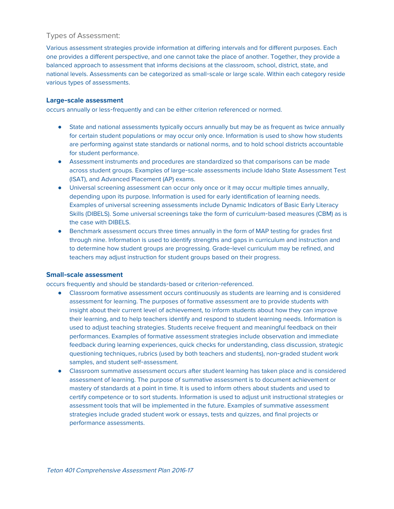## <span id="page-5-0"></span>Types of Assessment:

Various assessment strategies provide information at differing intervals and for different purposes. Each one provides a different perspective, and one cannot take the place of another. Together, they provide a balanced approach to assessment that informs decisions at the classroom, school, district, state, and national levels. Assessments can be categorized as small-scale or large scale. Within each category reside various types of assessments.

#### **Large**-**scale assessment**

occurs annually or less-frequently and can be either criterion referenced or normed.

- State and national assessments typically occurs annually but may be as frequent as twice annually for certain student populations or may occur only once. Information is used to show how students are performing against state standards or national norms, and to hold school districts accountable for student performance.
- Assessment instruments and procedures are standardized so that comparisons can be made across student groups. Examples of large-scale assessments include Idaho State Assessment Test (ISAT), and Advanced Placement (AP) exams.
- Universal screening assessment can occur only once or it may occur multiple times annually, depending upon its purpose. Information is used for early identification of learning needs. Examples of universal screening assessments include Dynamic Indicators of Basic Early Literacy Skills (DIBELS). Some universal screenings take the form of curriculum-based measures (CBM) as is the case with DIBELS.
- Benchmark assessment occurs three times annually in the form of MAP testing for grades first through nine. Information is used to identify strengths and gaps in curriculum and instruction and to determine how student groups are progressing. Grade-level curriculum may be refined, and teachers may adjust instruction for student groups based on their progress.

#### **Small**-**scale assessment**

occurs frequently and should be standards-based or criterion-referenced.

- Classroom formative assessment occurs continuously as students are learning and is considered assessment for learning. The purposes of formative assessment are to provide students with insight about their current level of achievement, to inform students about how they can improve their learning, and to help teachers identify and respond to student learning needs. Information is used to adjust teaching strategies. Students receive frequent and meaningful feedback on their performances. Examples of formative assessment strategies include observation and immediate feedback during learning experiences, quick checks for understanding, class discussion, strategic questioning techniques, rubrics (used by both teachers and students), non-graded student work samples, and student self-assessment.
- Classroom summative assessment occurs after student learning has taken place and is considered assessment of learning. The purpose of summative assessment is to document achievement or mastery of standards at a point in time. It is used to inform others about students and used to certify competence or to sort students. Information is used to adjust unit instructional strategies or assessment tools that will be implemented in the future. Examples of summative assessment strategies include graded student work or essays, tests and quizzes, and final projects or performance assessments.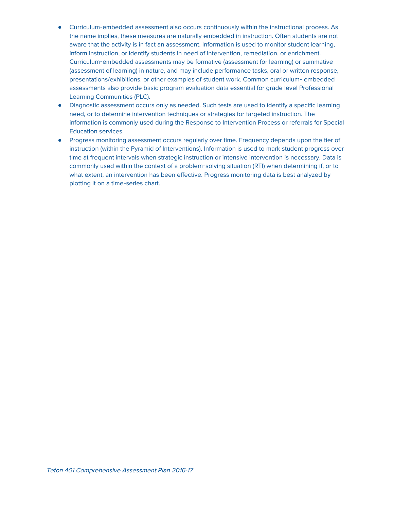- Curriculum-embedded assessment also occurs continuously within the instructional process. As the name implies, these measures are naturally embedded in instruction. Often students are not aware that the activity is in fact an assessment. Information is used to monitor student learning, inform instruction, or identify students in need of intervention, remediation, or enrichment. Curriculum-embedded assessments may be formative (assessment for learning) or summative (assessment of learning) in nature, and may include performance tasks, oral or written response, presentations/exhibitions, or other examples of student work. Common curriculum- embedded assessments also provide basic program evaluation data essential for grade level Professional Learning Communities (PLC).
- Diagnostic assessment occurs only as needed. Such tests are used to identify a specific learning need, or to determine intervention techniques or strategies for targeted instruction. The information is commonly used during the Response to Intervention Process or referrals for Special Education services.
- Progress monitoring assessment occurs regularly over time. Frequency depends upon the tier of instruction (within the Pyramid of Interventions). Information is used to mark student progress over time at frequent intervals when strategic instruction or intensive intervention is necessary. Data is commonly used within the context of a problem-solving situation (RTI) when determining if, or to what extent, an intervention has been effective. Progress monitoring data is best analyzed by plotting it on a time-series chart.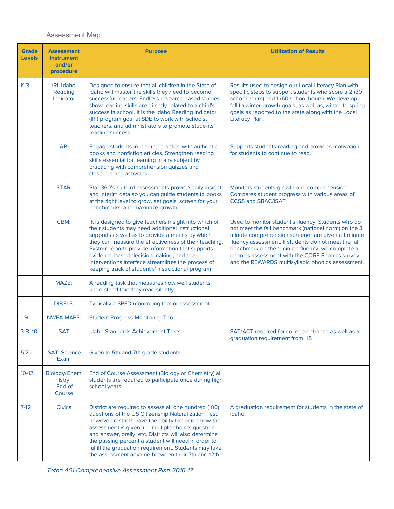## <span id="page-7-0"></span>Assessment Map:

| <b>Grade</b>  | <b>Assessment</b>                         | <b>Purpose</b>                                                                                                                                                                                                                                                                                                                                                                                                                                               | <b>Utilization of Results</b>                                                                                                                                                                                                                                                                                                                                                         |  |  |
|---------------|-------------------------------------------|--------------------------------------------------------------------------------------------------------------------------------------------------------------------------------------------------------------------------------------------------------------------------------------------------------------------------------------------------------------------------------------------------------------------------------------------------------------|---------------------------------------------------------------------------------------------------------------------------------------------------------------------------------------------------------------------------------------------------------------------------------------------------------------------------------------------------------------------------------------|--|--|
| <b>Levels</b> | <b>Instrument</b><br>and/or               |                                                                                                                                                                                                                                                                                                                                                                                                                                                              |                                                                                                                                                                                                                                                                                                                                                                                       |  |  |
|               | procedure                                 |                                                                                                                                                                                                                                                                                                                                                                                                                                                              |                                                                                                                                                                                                                                                                                                                                                                                       |  |  |
| $K-3$         | <b>IRI: Idaho</b><br>Reading<br>Indicator | Designed to ensure that all children in the State of<br>Idaho will master the skills they need to become<br>successful readers. Endless research-based studies<br>show reading skills are directly related to a child's<br>success in school. It is the Idaho Reading Indicator<br>(IRI) program goal at SDE to work with schools,<br>teachers, and administrators to promote students'<br>reading success.                                                  | Results used to design our Local Literacy Plan with<br>specific steps to support students who score a 2 (30<br>school hours) and 1 (60 school hours). We develop<br>fall to winter growth goals, as well as, winter to spring<br>goals as reported to the state along with the Local<br>Literacy Plan.                                                                                |  |  |
|               | AR:                                       | Engage students in reading practice with authentic<br>books and nonfiction articles. Strengthen reading<br>skills essential for learning in any subject by<br>practicing with comprehension quizzes and<br>close-reading activities.                                                                                                                                                                                                                         | Supports students reading and provides motivation<br>for students to continue to read.                                                                                                                                                                                                                                                                                                |  |  |
|               | STAR:                                     | Star 360's suite of assessments provide daily insight<br>and interim data so you can guide students to books<br>at the right level to grow, set goals, screen for your<br>benchmarks, and maximize growth.                                                                                                                                                                                                                                                   | Monitors students growth and comprehension.<br>Compares student progress with various areas of<br><b>CCSS and SBAC/ISAT</b>                                                                                                                                                                                                                                                           |  |  |
|               | CBM:                                      | It is designed to give teachers insight into which of<br>their students may need additional instructional<br>supports as well as to provide a means by which<br>they can measure the effectiveness of their teaching.<br>System reports provide information that supports<br>evidence-based decision making, and the<br>Interventions interface streamlines the process of<br>keeping track of student's' instructional program                              | Used to monitor student's fluency. Students who do<br>not meet the fall benchmark (national norm) on the 3<br>minute comprehension screener are given a 1 minute<br>fluency assessment. If students do not meet the fall<br>benchmark on the 1 minute fluency, we complete a<br>phonics assessment with the CORE Phonics survey,<br>and the REWARDS multisyllabic phonics assessment. |  |  |
|               | MAZE:                                     | A reading task that measures how well students<br>understand text they read silently                                                                                                                                                                                                                                                                                                                                                                         |                                                                                                                                                                                                                                                                                                                                                                                       |  |  |
|               | <b>DIBELS:</b>                            | Typically a SPED monitoring tool or assessment.                                                                                                                                                                                                                                                                                                                                                                                                              |                                                                                                                                                                                                                                                                                                                                                                                       |  |  |
| $1 - 9$       | <b>NWEA MAPS:</b>                         | <b>Student Progress Monitoring Tool</b>                                                                                                                                                                                                                                                                                                                                                                                                                      |                                                                                                                                                                                                                                                                                                                                                                                       |  |  |
| $3-8, 10$     | ISAT:                                     | Idaho Standards Achievement Tests                                                                                                                                                                                                                                                                                                                                                                                                                            | SAT/ACT required for college entrance as well as a<br>graduation requirement from HS                                                                                                                                                                                                                                                                                                  |  |  |
| 5,7           | <b>ISAT: Science</b><br>Exam              | Given to 5th and 7th grade students.                                                                                                                                                                                                                                                                                                                                                                                                                         |                                                                                                                                                                                                                                                                                                                                                                                       |  |  |
| $10-12$       | Biology/Chem<br>istry<br>End of<br>Course | End of Course Assessment (Biology or Chemistry) all<br>students are required to participate once during high<br>school years                                                                                                                                                                                                                                                                                                                                 |                                                                                                                                                                                                                                                                                                                                                                                       |  |  |
| 7-12          | <b>Civics</b>                             | District are required to assess all one hundred (100)<br>questions of the US Citizenship Naturalization Test;<br>however, districts have the ability to decide how the<br>assessment is given, i.e. multiple choice, question<br>and answer, orally, etc. Districts will also determine<br>the passing percent a student will need in order to<br>fulfill the graduation requirement. Students may take<br>the assessment anytime between their 7th and 12th | A graduation requirement for students in the state of<br>Idaho.                                                                                                                                                                                                                                                                                                                       |  |  |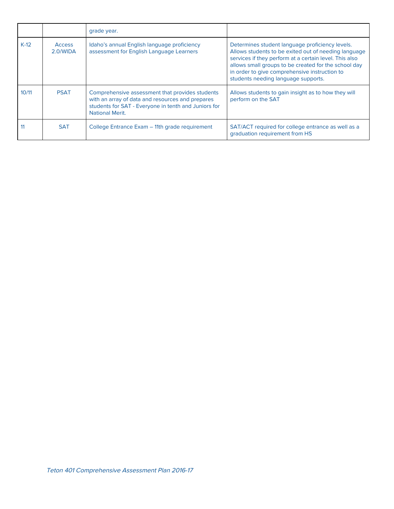|        |                           | grade year.                                                                                                                                                                           |                                                                                                                                                                                                                                                                                                                   |
|--------|---------------------------|---------------------------------------------------------------------------------------------------------------------------------------------------------------------------------------|-------------------------------------------------------------------------------------------------------------------------------------------------------------------------------------------------------------------------------------------------------------------------------------------------------------------|
| $K-12$ | <b>Access</b><br>2.0/WIDA | Idaho's annual English language proficiency<br>assessment for English Language Learners                                                                                               | Determines student language proficiency levels.<br>Allows students to be exited out of needing language<br>services if they perform at a certain level. This also<br>allows small groups to be created for the school day<br>in order to give comprehensive instruction to<br>students needing language supports. |
| 10/11  | <b>PSAT</b>               | Comprehensive assessment that provides students<br>with an array of data and resources and prepares<br>students for SAT - Everyone in tenth and Juniors for<br><b>National Merit.</b> | Allows students to gain insight as to how they will<br>perform on the SAT                                                                                                                                                                                                                                         |
| 11     | <b>SAT</b>                | College Entrance Exam - 11th grade requirement                                                                                                                                        | SAT/ACT required for college entrance as well as a<br>graduation requirement from HS                                                                                                                                                                                                                              |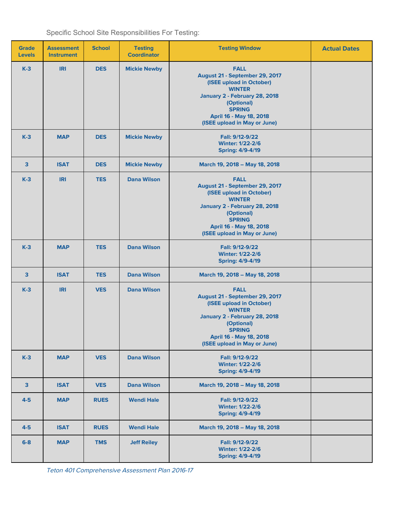<span id="page-9-0"></span>

|  |  | Specific School Site Responsibilities For Testing: |  |
|--|--|----------------------------------------------------|--|
|--|--|----------------------------------------------------|--|

| <b>Grade</b><br><b>Levels</b> | <b>Assessment</b><br><b>Instrument</b> | <b>School</b> | <b>Testing</b><br><b>Coordinator</b> | <b>Testing Window</b>                                                                                                                                                                                                 | <b>Actual Dates</b> |
|-------------------------------|----------------------------------------|---------------|--------------------------------------|-----------------------------------------------------------------------------------------------------------------------------------------------------------------------------------------------------------------------|---------------------|
| $K-3$                         | <b>IRI</b>                             | <b>DES</b>    | <b>Mickie Newby</b>                  | <b>FALL</b><br>August 21 - September 29, 2017<br>(ISEE upload in October)<br><b>WINTER</b><br>January 2 - February 28, 2018<br>(Optional)<br><b>SPRING</b><br>April 16 - May 18, 2018<br>(ISEE upload in May or June) |                     |
| $K-3$                         | <b>MAP</b>                             | <b>DES</b>    | <b>Mickie Newby</b>                  | Fall: 9/12-9/22<br><b>Winter: 1/22-2/6</b><br><b>Spring: 4/9-4/19</b>                                                                                                                                                 |                     |
| $\overline{\mathbf{3}}$       | <b>ISAT</b>                            | <b>DES</b>    | <b>Mickie Newby</b>                  | March 19, 2018 - May 18, 2018                                                                                                                                                                                         |                     |
| $K-3$                         | <b>IRI</b>                             | <b>TES</b>    | <b>Dana Wilson</b>                   | <b>FALL</b><br>August 21 - September 29, 2017<br>(ISEE upload in October)<br><b>WINTER</b><br>January 2 - February 28, 2018<br>(Optional)<br><b>SPRING</b><br>April 16 - May 18, 2018<br>(ISEE upload in May or June) |                     |
| $K-3$                         | <b>MAP</b>                             | <b>TES</b>    | <b>Dana Wilson</b>                   | Fall: 9/12-9/22<br><b>Winter: 1/22-2/6</b><br><b>Spring: 4/9-4/19</b>                                                                                                                                                 |                     |
| $\mathbf{3}$                  | <b>ISAT</b>                            | <b>TES</b>    | <b>Dana Wilson</b>                   | March 19, 2018 - May 18, 2018                                                                                                                                                                                         |                     |
| $K-3$                         | <b>IRI</b>                             | <b>VES</b>    | <b>Dana Wilson</b>                   | <b>FALL</b><br>August 21 - September 29, 2017<br>(ISEE upload in October)<br><b>WINTER</b><br>January 2 - February 28, 2018<br>(Optional)<br><b>SPRING</b><br>April 16 - May 18, 2018<br>(ISEE upload in May or June) |                     |
| $K-3$                         | <b>MAP</b>                             | <b>VES</b>    | <b>Dana Wilson</b>                   | Fall: 9/12-9/22<br><b>Winter: 1/22-2/6</b><br><b>Spring: 4/9-4/19</b>                                                                                                                                                 |                     |
| $\mathbf{3}$                  | <b>ISAT</b>                            | <b>VES</b>    | <b>Dana Wilson</b>                   | March 19, 2018 - May 18, 2018                                                                                                                                                                                         |                     |
| $4-5$                         | <b>MAP</b>                             | <b>RUES</b>   | <b>Wendi Hale</b>                    | Fall: 9/12-9/22<br><b>Winter: 1/22-2/6</b><br><b>Spring: 4/9-4/19</b>                                                                                                                                                 |                     |
| $4-5$                         | <b>ISAT</b>                            | <b>RUES</b>   | <b>Wendi Hale</b>                    | March 19, 2018 - May 18, 2018                                                                                                                                                                                         |                     |
| $6-8$                         | <b>MAP</b>                             | <b>TMS</b>    | <b>Jeff Reiley</b>                   | Fall: 9/12-9/22<br><b>Winter: 1/22-2/6</b><br><b>Spring: 4/9-4/19</b>                                                                                                                                                 |                     |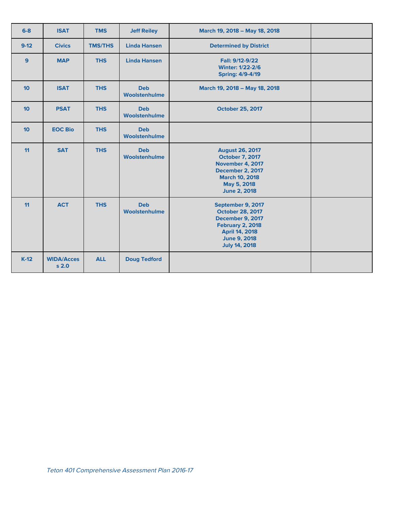| $6 - 8$          | <b>ISAT</b>                           | <b>TMS</b>     | <b>Jeff Reiley</b>          | March 19, 2018 - May 18, 2018                                                                                                                                       |  |
|------------------|---------------------------------------|----------------|-----------------------------|---------------------------------------------------------------------------------------------------------------------------------------------------------------------|--|
| $9-12$           | <b>Civics</b>                         | <b>TMS/THS</b> | <b>Linda Hansen</b>         | <b>Determined by District</b>                                                                                                                                       |  |
| 9                | <b>MAP</b>                            | <b>THS</b>     | <b>Linda Hansen</b>         | Fall: 9/12-9/22<br><b>Winter: 1/22-2/6</b><br><b>Spring: 4/9-4/19</b>                                                                                               |  |
| 10 <sup>1</sup>  | <b>ISAT</b>                           | <b>THS</b>     | <b>Deb</b><br>Woolstenhulme | March 19, 2018 - May 18, 2018                                                                                                                                       |  |
| 10 <sup>10</sup> | <b>PSAT</b>                           | <b>THS</b>     | <b>Deb</b><br>Woolstenhulme | <b>October 25, 2017</b>                                                                                                                                             |  |
| 10 <sup>1</sup>  | <b>EOC Bio</b>                        | <b>THS</b>     | <b>Deb</b><br>Woolstenhulme |                                                                                                                                                                     |  |
| 11               | <b>SAT</b>                            | <b>THS</b>     | <b>Deb</b><br>Woolstenhulme | <b>August 26, 2017</b><br><b>October 7, 2017</b><br><b>November 4, 2017</b><br>December 2, 2017<br><b>March 10, 2018</b><br>May 5, 2018<br><b>June 2, 2018</b>      |  |
| 11               | <b>ACT</b>                            | <b>THS</b>     | <b>Deb</b><br>Woolstenhulme | September 9, 2017<br><b>October 28, 2017</b><br>December 9, 2017<br><b>February 2, 2018</b><br><b>April 14, 2018</b><br><b>June 9, 2018</b><br><b>July 14, 2018</b> |  |
| $K-12$           | <b>WIDA/Acces</b><br>s <sub>2.0</sub> | <b>ALL</b>     | <b>Doug Tedford</b>         |                                                                                                                                                                     |  |